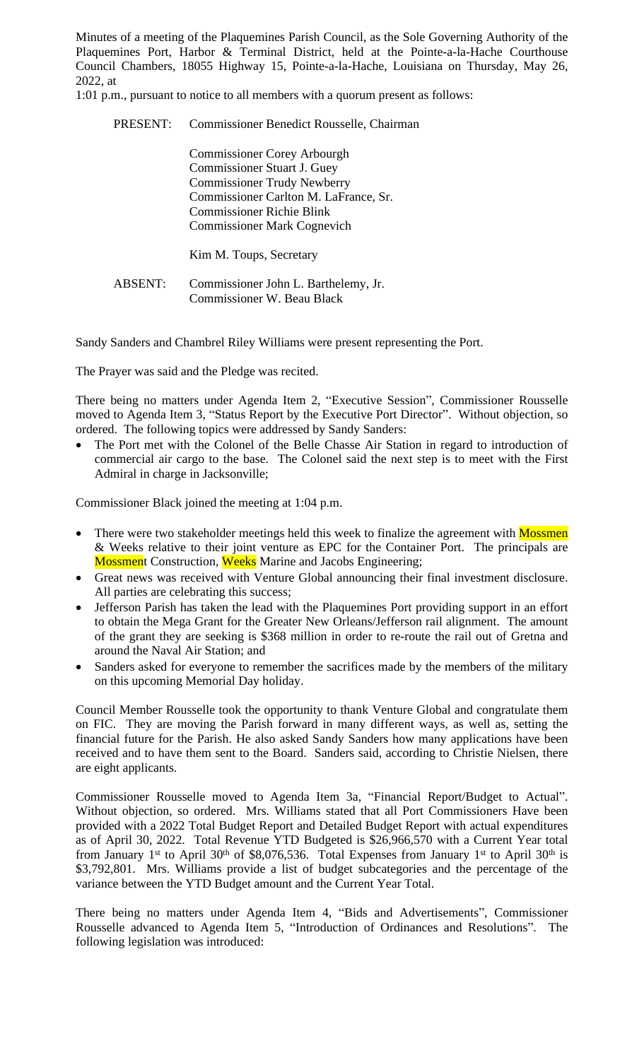Minutes of a meeting of the Plaquemines Parish Council, as the Sole Governing Authority of the Plaquemines Port, Harbor & Terminal District, held at the Pointe-a-la-Hache Courthouse Council Chambers, 18055 Highway 15, Pointe-a-la-Hache, Louisiana on Thursday, May 26, 2022, at

1:01 p.m., pursuant to notice to all members with a quorum present as follows:

| PRESENT:       | Commissioner Benedict Rousselle, Chairman                                                                                                                                                                                  |
|----------------|----------------------------------------------------------------------------------------------------------------------------------------------------------------------------------------------------------------------------|
|                | <b>Commissioner Corey Arbourgh</b><br><b>Commissioner Stuart J. Guey</b><br><b>Commissioner Trudy Newberry</b><br>Commissioner Carlton M. LaFrance, Sr.<br>Commissioner Richie Blink<br><b>Commissioner Mark Cognevich</b> |
|                | Kim M. Toups, Secretary                                                                                                                                                                                                    |
| <b>ABSENT:</b> | Commissioner John L. Barthelemy, Jr.<br><b>Commissioner W. Beau Black</b>                                                                                                                                                  |

Sandy Sanders and Chambrel Riley Williams were present representing the Port.

The Prayer was said and the Pledge was recited.

There being no matters under Agenda Item 2, "Executive Session", Commissioner Rousselle moved to Agenda Item 3, "Status Report by the Executive Port Director". Without objection, so ordered. The following topics were addressed by Sandy Sanders:

 The Port met with the Colonel of the Belle Chasse Air Station in regard to introduction of commercial air cargo to the base. The Colonel said the next step is to meet with the First Admiral in charge in Jacksonville;

Commissioner Black joined the meeting at 1:04 p.m.

- There were two stakeholder meetings held this week to finalize the agreement with Mossmen & Weeks relative to their joint venture as EPC for the Container Port. The principals are **Mossment Construction, Weeks Marine and Jacobs Engineering;**
- Great news was received with Venture Global announcing their final investment disclosure. All parties are celebrating this success;
- Jefferson Parish has taken the lead with the Plaquemines Port providing support in an effort to obtain the Mega Grant for the Greater New Orleans/Jefferson rail alignment. The amount of the grant they are seeking is \$368 million in order to re-route the rail out of Gretna and around the Naval Air Station; and
- Sanders asked for everyone to remember the sacrifices made by the members of the military on this upcoming Memorial Day holiday.

Council Member Rousselle took the opportunity to thank Venture Global and congratulate them on FIC. They are moving the Parish forward in many different ways, as well as, setting the financial future for the Parish. He also asked Sandy Sanders how many applications have been received and to have them sent to the Board. Sanders said, according to Christie Nielsen, there are eight applicants.

Commissioner Rousselle moved to Agenda Item 3a, "Financial Report/Budget to Actual". Without objection, so ordered. Mrs. Williams stated that all Port Commissioners Have been provided with a 2022 Total Budget Report and Detailed Budget Report with actual expenditures as of April 30, 2022. Total Revenue YTD Budgeted is \$26,966,570 with a Current Year total from January 1<sup>st</sup> to April 30<sup>th</sup> of \$8,076,536. Total Expenses from January 1<sup>st</sup> to April 30<sup>th</sup> is \$3,792,801. Mrs. Williams provide a list of budget subcategories and the percentage of the variance between the YTD Budget amount and the Current Year Total.

There being no matters under Agenda Item 4, "Bids and Advertisements", Commissioner Rousselle advanced to Agenda Item 5, "Introduction of Ordinances and Resolutions". The following legislation was introduced: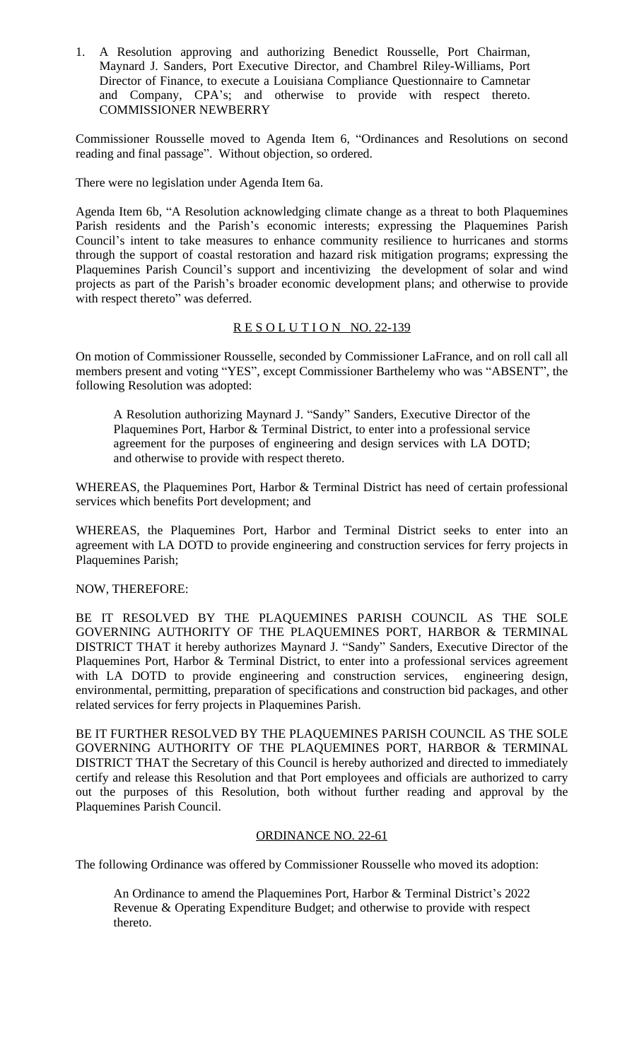1. A Resolution approving and authorizing Benedict Rousselle, Port Chairman, Maynard J. Sanders, Port Executive Director, and Chambrel Riley-Williams, Port Director of Finance, to execute a Louisiana Compliance Questionnaire to Camnetar and Company, CPA's; and otherwise to provide with respect thereto. COMMISSIONER NEWBERRY

Commissioner Rousselle moved to Agenda Item 6, "Ordinances and Resolutions on second reading and final passage". Without objection, so ordered.

There were no legislation under Agenda Item 6a.

Agenda Item 6b, "A Resolution acknowledging climate change as a threat to both Plaquemines Parish residents and the Parish's economic interests; expressing the Plaquemines Parish Council's intent to take measures to enhance community resilience to hurricanes and storms through the support of coastal restoration and hazard risk mitigation programs; expressing the Plaquemines Parish Council's support and incentivizing the development of solar and wind projects as part of the Parish's broader economic development plans; and otherwise to provide with respect thereto" was deferred.

# RESOLUTION NO. 22-139

On motion of Commissioner Rousselle, seconded by Commissioner LaFrance, and on roll call all members present and voting "YES", except Commissioner Barthelemy who was "ABSENT", the following Resolution was adopted:

A Resolution authorizing Maynard J. "Sandy" Sanders, Executive Director of the Plaquemines Port, Harbor & Terminal District, to enter into a professional service agreement for the purposes of engineering and design services with LA DOTD; and otherwise to provide with respect thereto.

WHEREAS, the Plaquemines Port, Harbor & Terminal District has need of certain professional services which benefits Port development; and

WHEREAS, the Plaquemines Port, Harbor and Terminal District seeks to enter into an agreement with LA DOTD to provide engineering and construction services for ferry projects in Plaquemines Parish;

# NOW, THEREFORE:

BE IT RESOLVED BY THE PLAQUEMINES PARISH COUNCIL AS THE SOLE GOVERNING AUTHORITY OF THE PLAQUEMINES PORT, HARBOR & TERMINAL DISTRICT THAT it hereby authorizes Maynard J. "Sandy" Sanders, Executive Director of the Plaquemines Port, Harbor & Terminal District, to enter into a professional services agreement with LA DOTD to provide engineering and construction services, engineering design, environmental, permitting, preparation of specifications and construction bid packages, and other related services for ferry projects in Plaquemines Parish.

BE IT FURTHER RESOLVED BY THE PLAQUEMINES PARISH COUNCIL AS THE SOLE GOVERNING AUTHORITY OF THE PLAQUEMINES PORT, HARBOR & TERMINAL DISTRICT THAT the Secretary of this Council is hereby authorized and directed to immediately certify and release this Resolution and that Port employees and officials are authorized to carry out the purposes of this Resolution, both without further reading and approval by the Plaquemines Parish Council.

# ORDINANCE NO. 22-61

The following Ordinance was offered by Commissioner Rousselle who moved its adoption:

An Ordinance to amend the Plaquemines Port, Harbor & Terminal District's 2022 Revenue & Operating Expenditure Budget; and otherwise to provide with respect thereto.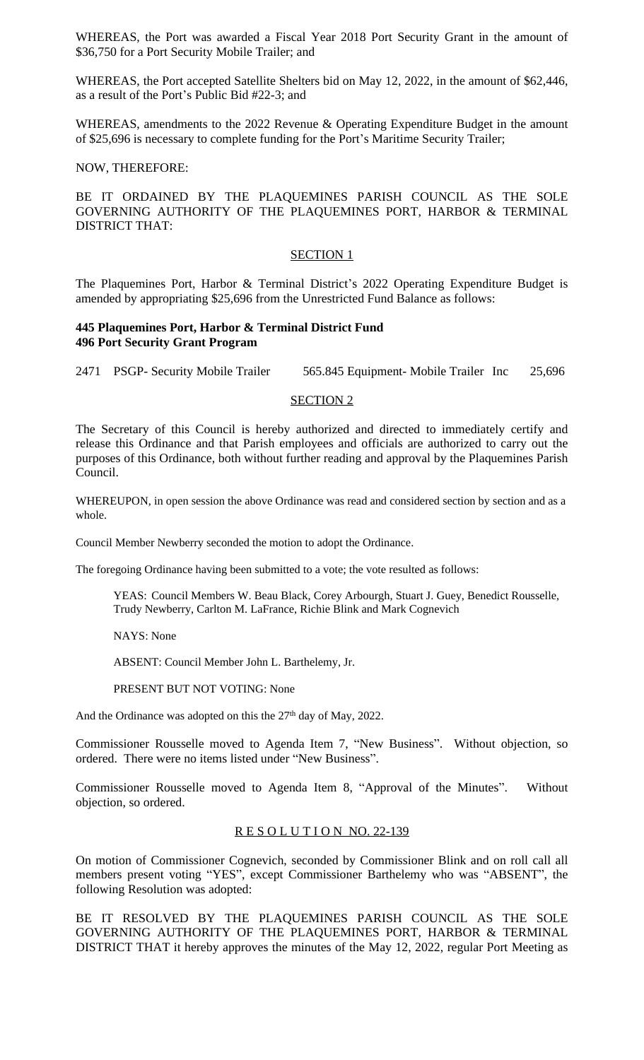WHEREAS, the Port was awarded a Fiscal Year 2018 Port Security Grant in the amount of \$36,750 for a Port Security Mobile Trailer; and

WHEREAS, the Port accepted Satellite Shelters bid on May 12, 2022, in the amount of \$62,446, as a result of the Port's Public Bid #22-3; and

WHEREAS, amendments to the 2022 Revenue & Operating Expenditure Budget in the amount of \$25,696 is necessary to complete funding for the Port's Maritime Security Trailer;

## NOW, THEREFORE:

# BE IT ORDAINED BY THE PLAQUEMINES PARISH COUNCIL AS THE SOLE GOVERNING AUTHORITY OF THE PLAQUEMINES PORT, HARBOR & TERMINAL DISTRICT THAT:

#### SECTION<sub>1</sub>

The Plaquemines Port, Harbor & Terminal District's 2022 Operating Expenditure Budget is amended by appropriating \$25,696 from the Unrestricted Fund Balance as follows:

## **445 Plaquemines Port, Harbor & Terminal District Fund 496 Port Security Grant Program**

2471 PSGP- Security Mobile Trailer 565.845 Equipment- Mobile Trailer Inc 25,696

#### SECTION 2

The Secretary of this Council is hereby authorized and directed to immediately certify and release this Ordinance and that Parish employees and officials are authorized to carry out the purposes of this Ordinance, both without further reading and approval by the Plaquemines Parish Council.

WHEREUPON, in open session the above Ordinance was read and considered section by section and as a whole.

Council Member Newberry seconded the motion to adopt the Ordinance.

The foregoing Ordinance having been submitted to a vote; the vote resulted as follows:

YEAS: Council Members W. Beau Black, Corey Arbourgh, Stuart J. Guey, Benedict Rousselle, Trudy Newberry, Carlton M. LaFrance, Richie Blink and Mark Cognevich

NAYS: None

ABSENT: Council Member John L. Barthelemy, Jr.

PRESENT BUT NOT VOTING: None

And the Ordinance was adopted on this the 27<sup>th</sup> day of May, 2022.

Commissioner Rousselle moved to Agenda Item 7, "New Business". Without objection, so ordered. There were no items listed under "New Business".

Commissioner Rousselle moved to Agenda Item 8, "Approval of the Minutes". Without objection, so ordered.

### R E S O L U T I O N NO. 22-139

On motion of Commissioner Cognevich, seconded by Commissioner Blink and on roll call all members present voting "YES", except Commissioner Barthelemy who was "ABSENT", the following Resolution was adopted:

BE IT RESOLVED BY THE PLAQUEMINES PARISH COUNCIL AS THE SOLE GOVERNING AUTHORITY OF THE PLAQUEMINES PORT, HARBOR & TERMINAL DISTRICT THAT it hereby approves the minutes of the May 12, 2022, regular Port Meeting as